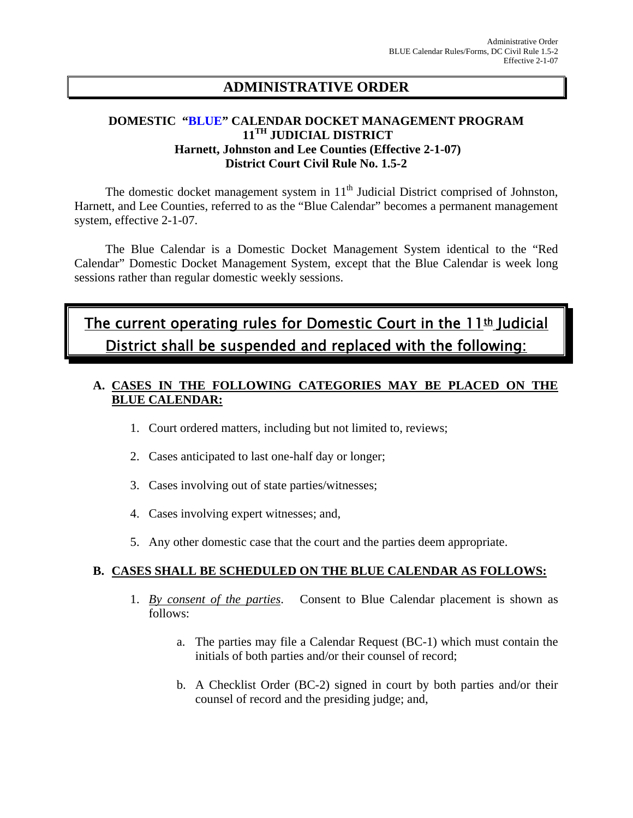# **ADMINISTRATIVE ORDER**

## **DOMESTIC "BLUE" CALENDAR DOCKET MANAGEMENT PROGRAM 11TH JUDICIAL DISTRICT Harnett, Johnston and Lee Counties (Effective 2-1-07) District Court Civil Rule No. 1.5-2**

The domestic docket management system in  $11<sup>th</sup>$  Judicial District comprised of Johnston, Harnett, and Lee Counties, referred to as the "Blue Calendar" becomes a permanent management system, effective 2-1-07.

 The Blue Calendar is a Domestic Docket Management System identical to the "Red Calendar" Domestic Docket Management System, except that the Blue Calendar is week long sessions rather than regular domestic weekly sessions.

# The current operating rules for Domestic Court in the  $11<sup>th</sup>$  Judicial District shall be suspended and replaced with the following:

# **A. CASES IN THE FOLLOWING CATEGORIES MAY BE PLACED ON THE BLUE CALENDAR:**

- 1. Court ordered matters, including but not limited to, reviews;
- 2. Cases anticipated to last one-half day or longer;
- 3. Cases involving out of state parties/witnesses;
- 4. Cases involving expert witnesses; and,
- 5. Any other domestic case that the court and the parties deem appropriate.

## **B. CASES SHALL BE SCHEDULED ON THE BLUE CALENDAR AS FOLLOWS:**

- 1. *By consent of the parties*. Consent to Blue Calendar placement is shown as follows:
	- a. The parties may file a Calendar Request (BC-1) which must contain the initials of both parties and/or their counsel of record;
	- b. A Checklist Order (BC-2) signed in court by both parties and/or their counsel of record and the presiding judge; and,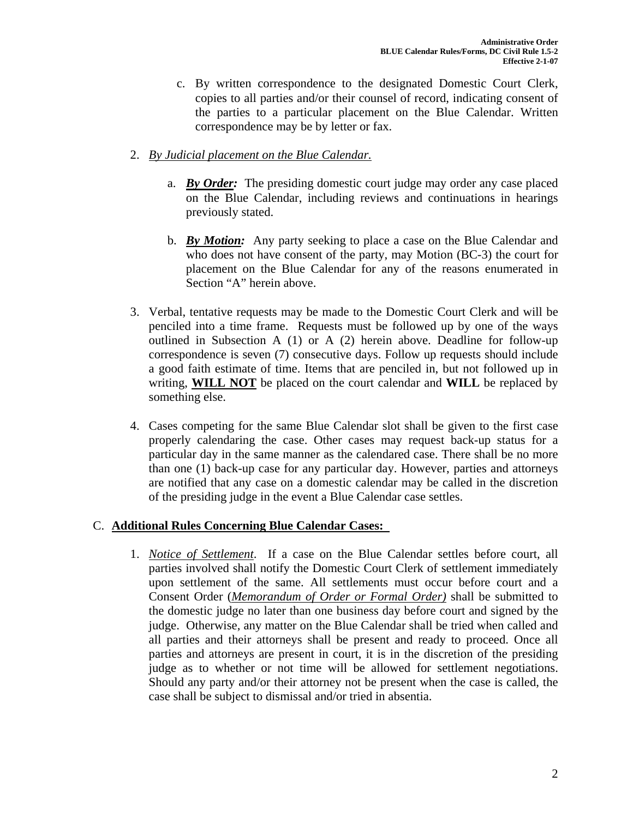- c. By written correspondence to the designated Domestic Court Clerk, copies to all parties and/or their counsel of record, indicating consent of the parties to a particular placement on the Blue Calendar. Written correspondence may be by letter or fax.
- 2. *By Judicial placement on the Blue Calendar.*
	- a. *By Order:* The presiding domestic court judge may order any case placed on the Blue Calendar, including reviews and continuations in hearings previously stated.
	- b. *By Motion:* Any party seeking to place a case on the Blue Calendar and who does not have consent of the party, may Motion (BC-3) the court for placement on the Blue Calendar for any of the reasons enumerated in Section "A" herein above.
- 3. Verbal, tentative requests may be made to the Domestic Court Clerk and will be penciled into a time frame. Requests must be followed up by one of the ways outlined in Subsection A (1) or A (2) herein above. Deadline for follow-up correspondence is seven (7) consecutive days. Follow up requests should include a good faith estimate of time. Items that are penciled in, but not followed up in writing, **WILL NOT** be placed on the court calendar and **WILL** be replaced by something else.
- 4. Cases competing for the same Blue Calendar slot shall be given to the first case properly calendaring the case. Other cases may request back-up status for a particular day in the same manner as the calendared case. There shall be no more than one (1) back-up case for any particular day. However, parties and attorneys are notified that any case on a domestic calendar may be called in the discretion of the presiding judge in the event a Blue Calendar case settles.

## C. **Additional Rules Concerning Blue Calendar Cases:**

1. *Notice of Settlement*. If a case on the Blue Calendar settles before court, all parties involved shall notify the Domestic Court Clerk of settlement immediately upon settlement of the same. All settlements must occur before court and a Consent Order (*Memorandum of Order or Formal Order)* shall be submitted to the domestic judge no later than one business day before court and signed by the judge. Otherwise, any matter on the Blue Calendar shall be tried when called and all parties and their attorneys shall be present and ready to proceed. Once all parties and attorneys are present in court, it is in the discretion of the presiding judge as to whether or not time will be allowed for settlement negotiations. Should any party and/or their attorney not be present when the case is called, the case shall be subject to dismissal and/or tried in absentia.